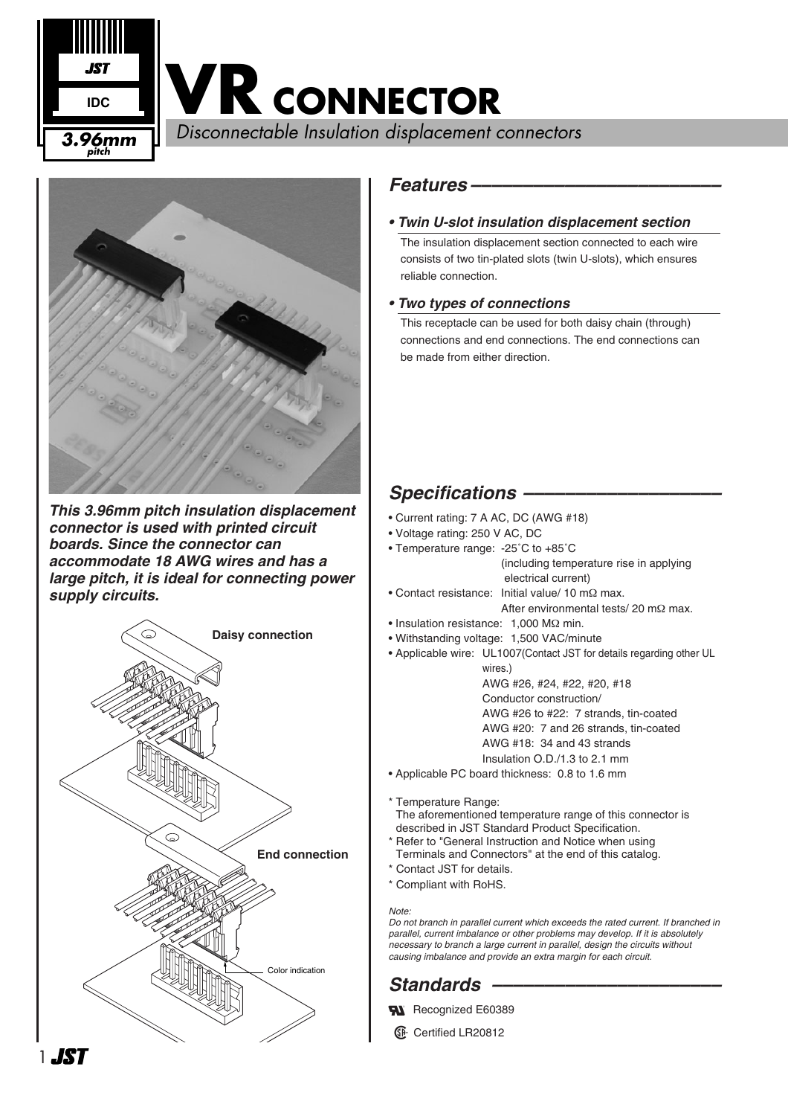**VR CONNECTOR**

Disconnectable Insulation displacement connectors **3.96mm**



**pitch**

**IDC**

*This 3.96mm pitch insulation displacement connector is used with printed circuit boards. Since the connector can accommodate 18 AWG wires and has a large pitch, it is ideal for connecting power supply circuits.*



#### *Features ––––––––––––––––––––––––*

#### *• Twin U-slot insulation displacement section*

The insulation displacement section connected to each wire consists of two tin-plated slots (twin U-slots), which ensures reliable connection.

#### *• Two types of connections*

This receptacle can be used for both daisy chain (through) connections and end connections. The end connections can be made from either direction.

## *Specifications –––––––––––––––––––*

- Current rating: 7 A AC, DC (AWG #18)
- Voltage rating: 250 V AC, DC
- Temperature range: -25˚C to +85˚C (including temperature rise in applying electrical current)
- Contact resistance: Initial value/ 10 mΩ max. After environmental tests/ 20 mΩ max.
- Insulation resistance: 1,000 MΩ min.
- Withstanding voltage: 1,500 VAC/minute
- Applicable wire: UL1007(Contact JST for details regarding other UL
	- wires.) AWG #26, #24, #22, #20, #18 Conductor construction/ AWG #26 to #22: 7 strands, tin-coated AWG #20: 7 and 26 strands, tin-coated AWG #18: 34 and 43 strands Insulation O.D./1.3 to 2.1 mm
- Applicable PC board thickness: 0.8 to 1.6 mm
- \* Temperature Range:
- The aforementioned temperature range of this connector is described in JST Standard Product Specification.
- \* Refer to "General Instruction and Notice when using Terminals and Connectors" at the end of this catalog.
- \* Contact JST for details.
- \* Compliant with RoHS.

#### *Note:*

*Do not branch in parallel current which exceeds the rated current. If branched in parallel, current imbalance or other problems may develop. If it is absolutely necessary to branch a large current in parallel, design the circuits without causing imbalance and provide an extra margin for each circuit.* 

# *Standards ––––––––––––––––––––––*

- **W** Recognized E60389
- **1** Certified LR20812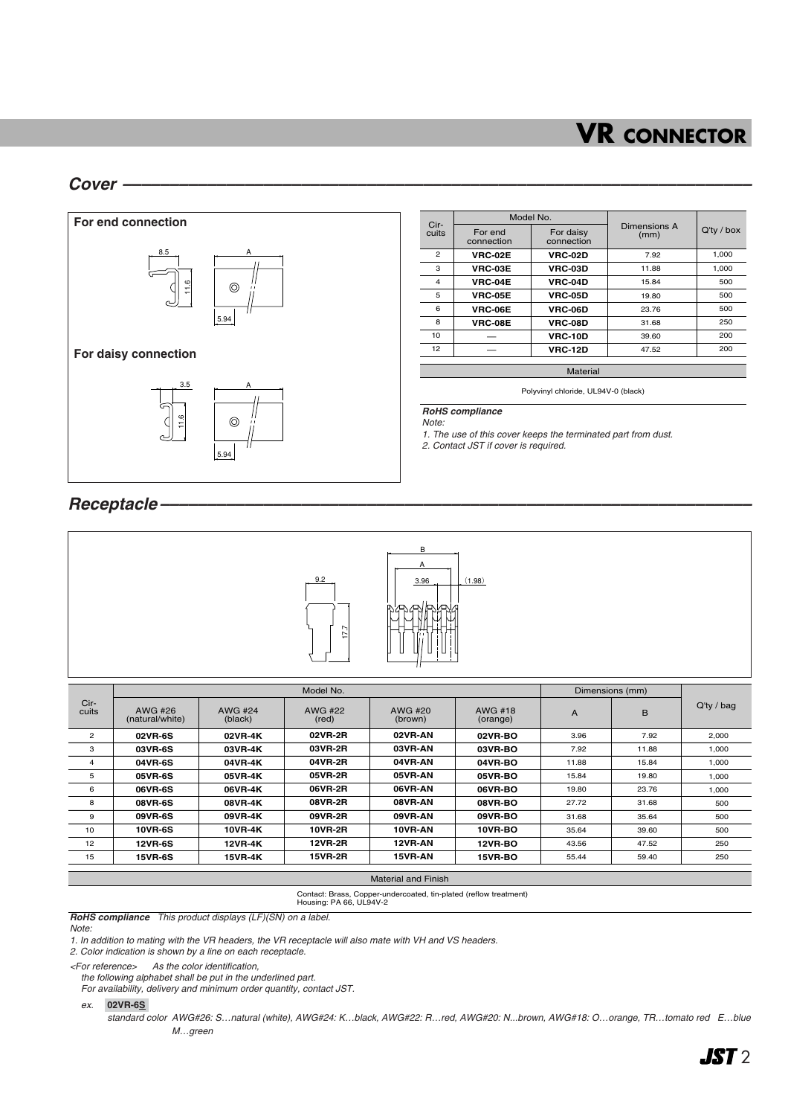# **VR CONNECTOR**

#### *Cover –––––––––––––––––––––––––––––––––––––––––––––––––––––––––––––––––––*



5.94

| Cir-<br>cuits  |                       | Model No.               |                      | $Q'$ ty / box |  |
|----------------|-----------------------|-------------------------|----------------------|---------------|--|
|                | For end<br>connection | For daisy<br>connection | Dimensions A<br>(mm) |               |  |
| $\overline{2}$ | <b>VRC-02E</b>        | <b>VRC-02D</b>          | 7.92                 | 1,000         |  |
| 3              | VRC-03E               | <b>VRC-03D</b>          | 11.88                | 1.000         |  |
| $\overline{4}$ | <b>VRC-04E</b>        | <b>VRC-04D</b>          | 15.84                | 500           |  |
| 5              | <b>VRC-05E</b>        | <b>VRC-05D</b>          | 19.80                | 500           |  |
| 6              | <b>VRC-06E</b>        | <b>VRC-06D</b>          | 23.76                | 500           |  |
| 8              | <b>VRC-08E</b>        | <b>VRC-08D</b>          | 31.68                | 250           |  |
| 10             |                       | <b>VRC-10D</b>          | 39.60                | 200           |  |
| 12             |                       | <b>VRC-12D</b>          | 47.52                | 200           |  |
|                |                       |                         |                      |               |  |

Material Polyvinyl chloride, UL94V-0 (black)

*RoHS compliance*

*Note:*

*1. The use of this cover keeps the terminated part from dust.*

*2. Contact JST if cover is required.*

#### *Receptacle –––––––––––––––––––––––––––––––––––––––––––––––––––––––––––––––*



|                | Model No.                  |                    |                  |                    | Dimensions (mm)     |                |       |               |
|----------------|----------------------------|--------------------|------------------|--------------------|---------------------|----------------|-------|---------------|
| Cir-<br>cuits  | AWG #26<br>(natural/white) | AWG #24<br>(black) | AWG #22<br>(red) | AWG #20<br>(brown) | AWG #18<br>(orange) | $\overline{A}$ | B     | $Q'$ ty / bag |
| $\overline{2}$ | <b>02VR-6S</b>             | 02VR-4K            | 02VR-2R          | 02VR-AN            | 02VR-BO             | 3.96           | 7.92  | 2,000         |
| 3              | 03VR-6S                    | 03VR-4K            | 03VR-2R          | 03VR-AN            | 03VR-BO             | 7.92           | 11.88 | 1.000         |
| $\overline{4}$ | 04VR-6S                    | 04VR-4K            | 04VR-2R          | 04VR-AN            | <b>04VR-BO</b>      | 11.88          | 15.84 | 1.000         |
| 5              | <b>05VR-6S</b>             | 05VR-4K            | 05VR-2R          | 05VR-AN            | <b>05VR-BO</b>      | 15.84          | 19.80 | 1,000         |
| 6              | 06VR-6S                    | 06VR-4K            | 06VR-2R          | 06VR-AN            | <b>06VR-BO</b>      | 19.80          | 23.76 | 1,000         |
| 8              | <b>08VR-6S</b>             | 08VR-4K            | 08VR-2R          | 08VR-AN            | <b>08VR-BO</b>      | 27.72          | 31.68 | 500           |
| 9              | 09VR-6S                    | 09VR-4K            | 09VR-2R          | 09VR-AN            | <b>09VR-BO</b>      | 31.68          | 35.64 | 500           |
| 10             | <b>10VR-6S</b>             | 10VR-4K            | <b>10VR-2R</b>   | 10VR-AN            | <b>10VR-BO</b>      | 35.64          | 39.60 | 500           |
| 12             | <b>12VR-6S</b>             | <b>12VR-4K</b>     | <b>12VR-2R</b>   | 12VR-AN            | <b>12VR-BO</b>      | 43.56          | 47.52 | 250           |
| 15             | <b>15VR-6S</b>             | 15VR-4K            | 15VR-2R          | 15VR-AN            | 15VR-BO             | 55.44          | 59.40 | 250           |
|                |                            |                    |                  |                    |                     |                |       |               |

Material and Finish

Contact: Brass, Copper-undercoated, tin-plated (reflow treatment) Housing: PA 66, UL94V-2

*RoHS compliance This product displays (LF)(SN) on a label.*

*Note:* 

*1. In addition to mating with the VR headers, the VR receptacle will also mate with VH and VS headers.*

*2. Color indication is shown by a line on each receptacle.*

*<For reference> As the color identification,* 

*the following alphabet shall be put in the underlined part.*

*For availability, delivery and minimum order quantity, contact JST.*

#### *ex.* **02VR-6S-**

*standard color AWG#26: S…natural (white), AWG#24: K…black, AWG#22: R…red, AWG#20: N...brown, AWG#18: O…orange, TR…tomato red E…blue M…green*